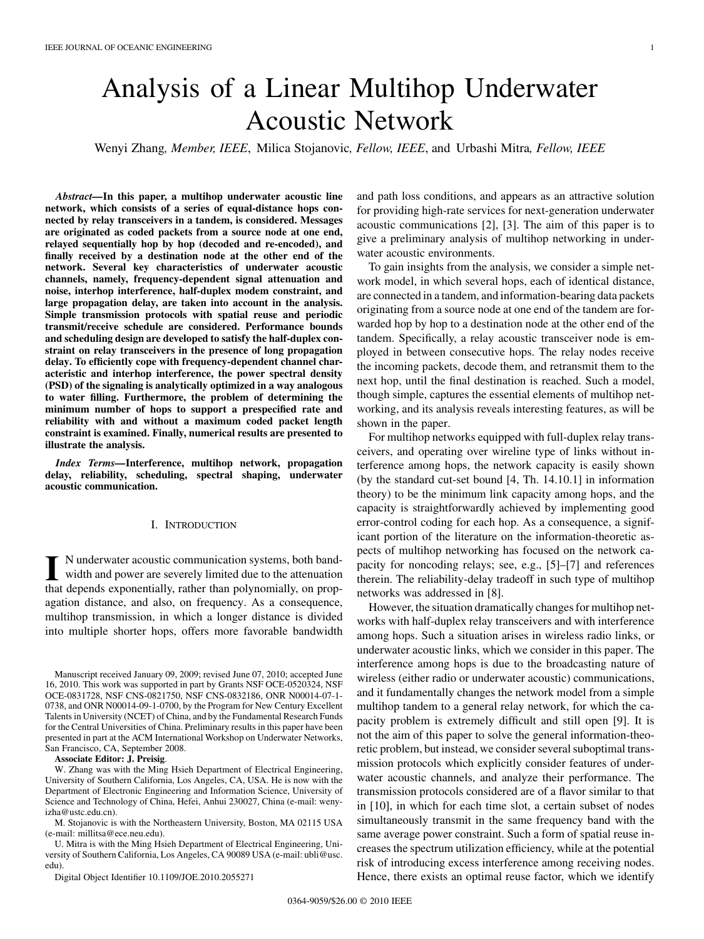# Analysis of a Linear Multihop Underwater Acoustic Network

Wenyi Zhang*, Member, IEEE*, Milica Stojanovic*, Fellow, IEEE*, and Urbashi Mitra*, Fellow, IEEE*

*Abstract—***In this paper, a multihop underwater acoustic line network, which consists of a series of equal-distance hops connected by relay transceivers in a tandem, is considered. Messages are originated as coded packets from a source node at one end, relayed sequentially hop by hop (decoded and re-encoded), and finally received by a destination node at the other end of the network. Several key characteristics of underwater acoustic channels, namely, frequency-dependent signal attenuation and noise, interhop interference, half-duplex modem constraint, and large propagation delay, are taken into account in the analysis. Simple transmission protocols with spatial reuse and periodic transmit/receive schedule are considered. Performance bounds and scheduling design are developed to satisfy the half-duplex constraint on relay transceivers in the presence of long propagation delay. To efficiently cope with frequency-dependent channel characteristic and interhop interference, the power spectral density (PSD) of the signaling is analytically optimized in a way analogous to water filling. Furthermore, the problem of determining the minimum number of hops to support a prespecified rate and reliability with and without a maximum coded packet length constraint is examined. Finally, numerical results are presented to illustrate the analysis.**

*Index Terms—***Interference, multihop network, propagation delay, reliability, scheduling, spectral shaping, underwater acoustic communication.**

#### I. INTRODUCTION

I N underwater acoustic communication systems, both band-<br>width and power are severely limited due to the attenuation<br>that dangeds ay nonportially rather than polynomially on prop. that depends exponentially, rather than polynomially, on propagation distance, and also, on frequency. As a consequence, multihop transmission, in which a longer distance is divided into multiple shorter hops, offers more favorable bandwidth

Manuscript received January 09, 2009; revised June 07, 2010; accepted June 16, 2010. This work was supported in part by Grants NSF OCE-0520324, NSF OCE-0831728, NSF CNS-0821750, NSF CNS-0832186, ONR N00014-07-1- 0738, and ONR N00014-09-1-0700, by the Program for New Century Excellent Talents in University (NCET) of China, and by the Fundamental Research Funds for the Central Universities of China. Preliminary results in this paper have been presented in part at the ACM International Workshop on Underwater Networks, San Francisco, CA, September 2008.

#### **Associate Editor: J. Preisig**.

W. Zhang was with the Ming Hsieh Department of Electrical Engineering, University of Southern California, Los Angeles, CA, USA. He is now with the Department of Electronic Engineering and Information Science, University of Science and Technology of China, Hefei, Anhui 230027, China (e-mail: wenyizha@ustc.edu.cn).

M. Stojanovic is with the Northeastern University, Boston, MA 02115 USA (e-mail: millitsa@ece.neu.edu).

U. Mitra is with the Ming Hsieh Department of Electrical Engineering, University of Southern California, Los Angeles, CA 90089 USA (e-mail: ubli@usc. edu).

Digital Object Identifier 10.1109/JOE.2010.2055271

and path loss conditions, and appears as an attractive solution for providing high-rate services for next-generation underwater acoustic communications [\[2\]](#page-9-0), [\[3\].](#page-9-0) The aim of this paper is to give a preliminary analysis of multihop networking in underwater acoustic environments.

To gain insights from the analysis, we consider a simple network model, in which several hops, each of identical distance, are connected in a tandem, and information-bearing data packets originating from a source node at one end of the tandem are forwarded hop by hop to a destination node at the other end of the tandem. Specifically, a relay acoustic transceiver node is employed in between consecutive hops. The relay nodes receive the incoming packets, decode them, and retransmit them to the next hop, until the final destination is reached. Such a model, though simple, captures the essential elements of multihop networking, and its analysis reveals interesting features, as will be shown in the paper.

For multihop networks equipped with full-duplex relay transceivers, and operating over wireline type of links without interference among hops, the network capacity is easily shown (by the standard cut-set bound [\[4, Th. 14.10.1\]](#page-9-0) in information theory) to be the minimum link capacity among hops, and the capacity is straightforwardly achieved by implementing good error-control coding for each hop. As a consequence, a significant portion of the literature on the information-theoretic aspects of multihop networking has focused on the network capacity for noncoding relays; see, e.g., [\[5\]–\[7\]](#page-9-0) and references therein. The reliability-delay tradeoff in such type of multihop networks was addressed in [\[8\].](#page-9-0)

However, the situation dramatically changes for multihop networks with half-duplex relay transceivers and with interference among hops. Such a situation arises in wireless radio links, or underwater acoustic links, which we consider in this paper. The interference among hops is due to the broadcasting nature of wireless (either radio or underwater acoustic) communications, and it fundamentally changes the network model from a simple multihop tandem to a general relay network, for which the capacity problem is extremely difficult and still open [\[9\].](#page-9-0) It is not the aim of this paper to solve the general information-theoretic problem, but instead, we consider several suboptimal transmission protocols which explicitly consider features of underwater acoustic channels, and analyze their performance. The transmission protocols considered are of a flavor similar to that in [\[10\],](#page-9-0) in which for each time slot, a certain subset of nodes simultaneously transmit in the same frequency band with the same average power constraint. Such a form of spatial reuse increases the spectrum utilization efficiency, while at the potential risk of introducing excess interference among receiving nodes. Hence, there exists an optimal reuse factor, which we identify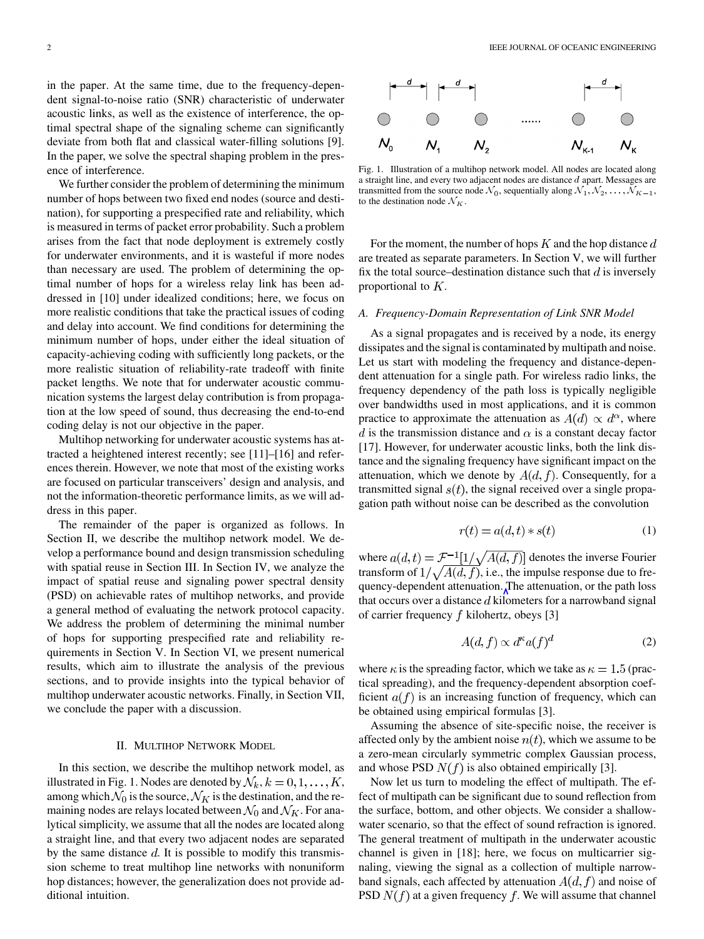<span id="page-1-0"></span>in the paper. At the same time, due to the frequency-dependent signal-to-noise ratio (SNR) characteristic of underwater acoustic links, as well as the existence of interference, the optimal spectral shape of the signaling scheme can significantly deviate from both flat and classical water-filling solutions [\[9\]](#page-9-0). In the paper, we solve the spectral shaping problem in the presence of interference.

We further consider the problem of determining the minimum number of hops between two fixed end nodes (source and destination), for supporting a prespecified rate and reliability, which is measured in terms of packet error probability. Such a problem arises from the fact that node deployment is extremely costly for underwater environments, and it is wasteful if more nodes than necessary are used. The problem of determining the optimal number of hops for a wireless relay link has been addressed in [\[10\]](#page-9-0) under idealized conditions; here, we focus on more realistic conditions that take the practical issues of coding and delay into account. We find conditions for determining the minimum number of hops, under either the ideal situation of capacity-achieving coding with sufficiently long packets, or the more realistic situation of reliability-rate tradeoff with finite packet lengths. We note that for underwater acoustic communication systems the largest delay contribution is from propagation at the low speed of sound, thus decreasing the end-to-end coding delay is not our objective in the paper.

Multihop networking for underwater acoustic systems has attracted a heightened interest recently; see [\[11\]–\[16\]](#page-9-0) and references therein. However, we note that most of the existing works are focused on particular transceivers' design and analysis, and not the information-theoretic performance limits, as we will address in this paper.

The remainder of the paper is organized as follows. In Section II, we describe the multihop network model. We develop a performance bound and design transmission scheduling with spatial reuse in [Section III.](#page-2-0) In [Section IV,](#page-3-0) we analyze the impact of spatial reuse and signaling power spectral density (PSD) on achievable rates of multihop networks, and provide a general method of evaluating the network protocol capacity. We address the problem of determining the minimal number of hops for supporting prespecified rate and reliability requirements in [Section V](#page-4-0). In [Section VI,](#page-5-0) we present numerical results, which aim to illustrate the analysis of the previous sections, and to provide insights into the typical behavior of multihop underwater acoustic networks. Finally, in [Section VII](#page-7-0), we conclude the paper with a discussion.

#### II. MULTIHOP NETWORK MODEL

In this section, we describe the multihop network model, as illustrated in Fig. 1. Nodes are denoted by  $\mathcal{N}_k$ ,  $k = 0, 1, \dots, K$ , among which  $\mathcal{N}_0$  is the source,  $\mathcal{N}_K$  is the destination, and the remaining nodes are relays located between  $\mathcal{N}_0$  and  $\mathcal{N}_K$ . For analytical simplicity, we assume that all the nodes are located along a straight line, and that every two adjacent nodes are separated by the same distance  $d$ . It is possible to modify this transmission scheme to treat multihop line networks with nonuniform hop distances; however, the generalization does not provide additional intuition.



Fig. 1. Illustration of a multihop network model. All nodes are located along a straight line, and every two adjacent nodes are distance  $d$  apart. Messages are transmitted from the source node  $\mathcal{N}_0$ , sequentially along  $\mathcal{N}_1, \mathcal{N}_2, \ldots, \mathcal{N}_{K-1}$ , to the destination node  $\mathcal{N}_K$ .

For the moment, the number of hops  $K$  and the hop distance  $d$ are treated as separate parameters. In [Section V](#page-4-0), we will further fix the total source–destination distance such that  $d$  is inversely proportional to  $K$ .

## *A. Frequency-Domain Representation of Link SNR Model*

As a signal propagates and is received by a node, its energy dissipates and the signal is contaminated by multipath and noise. Let us start with modeling the frequency and distance-dependent attenuation for a single path. For wireless radio links, the frequency dependency of the path loss is typically negligible over bandwidths used in most applications, and it is common practice to approximate the attenuation as  $A(d) \propto d^{\alpha}$ , where d is the transmission distance and  $\alpha$  is a constant decay factor [\[17\]](#page-9-0). However, for underwater acoustic links, both the link distance and the signaling frequency have significant impact on the attenuation, which we denote by  $A(d, f)$ . Consequently, for a transmitted signal  $s(t)$ , the signal received over a single propagation path without noise can be described as the convolution

$$
r(t) = a(d, t) * s(t)
$$
\n<sup>(1)</sup>

where  $a(d,t) = \mathcal{F}^{-1}[1/\sqrt{A(d,f)}]$  denotes the inverse Fourier transform of  $1/\sqrt{A(d, f)}$ , i.e., the impulse response due to frequency-dependent attenuation. The attenuation, or the path loss that occurs over a distance  $d$  kilometers for a narrowband signal of carrier frequency  $f$  kilohertz, obeys [\[3\]](#page-9-0)

$$
A(d, f) \propto d^{\kappa} a(f)^d \tag{2}
$$

where  $\kappa$  is the spreading factor, which we take as  $\kappa = 1.5$  (practical spreading), and the frequency-dependent absorption coefficient  $a(f)$  is an increasing function of frequency, which can be obtained using empirical formulas [\[3\]](#page-9-0).

Assuming the absence of site-specific noise, the receiver is affected only by the ambient noise  $n(t)$ , which we assume to be a zero-mean circularly symmetric complex Gaussian process, and whose PSD  $N(f)$  is also obtained empirically [\[3\]](#page-9-0).

Now let us turn to modeling the effect of multipath. The effect of multipath can be significant due to sound reflection from the surface, bottom, and other objects. We consider a shallowwater scenario, so that the effect of sound refraction is ignored. The general treatment of multipath in the underwater acoustic channel is given in [\[18\]](#page-9-0); here, we focus on multicarrier signaling, viewing the signal as a collection of multiple narrowband signals, each affected by attenuation  $A(d, f)$  and noise of PSD  $N(f)$  at a given frequency f. We will assume that channel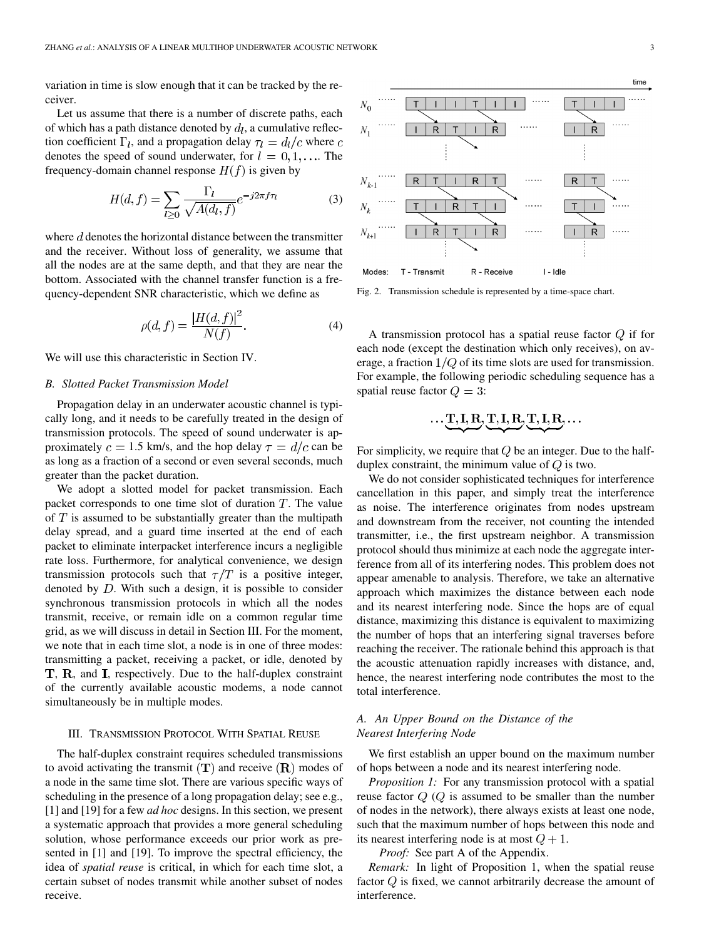<span id="page-2-0"></span>variation in time is slow enough that it can be tracked by the receiver.

Let us assume that there is a number of discrete paths, each of which has a path distance denoted by  $d_l$ , a cumulative reflection coefficient  $\Gamma_l$ , and a propagation delay  $\tau_l = d_l/c$  where c denotes the speed of sound underwater, for  $l = 0, 1, \dots$  The frequency-domain channel response  $H(f)$  is given by

$$
H(d, f) = \sum_{l \ge 0} \frac{\Gamma_l}{\sqrt{A(d_l, f)}} e^{-j2\pi f \tau_l}
$$
(3)

where  $d$  denotes the horizontal distance between the transmitter and the receiver. Without loss of generality, we assume that all the nodes are at the same depth, and that they are near the bottom. Associated with the channel transfer function is a frequency-dependent SNR characteristic, which we define as

$$
\rho(d, f) = \frac{|H(d, f)|^2}{N(f)}.
$$
\n(4)

We will use this characteristic in [Section IV](#page-3-0).

#### *B. Slotted Packet Transmission Model*

Propagation delay in an underwater acoustic channel is typically long, and it needs to be carefully treated in the design of transmission protocols. The speed of sound underwater is approximately  $c = 1.5$  km/s, and the hop delay  $\tau = d/c$  can be as long as a fraction of a second or even several seconds, much greater than the packet duration.

We adopt a slotted model for packet transmission. Each packet corresponds to one time slot of duration  $T$ . The value of  $T$  is assumed to be substantially greater than the multipath delay spread, and a guard time inserted at the end of each packet to eliminate interpacket interference incurs a negligible rate loss. Furthermore, for analytical convenience, we design transmission protocols such that  $\tau/T$  is a positive integer, denoted by  $D$ . With such a design, it is possible to consider synchronous transmission protocols in which all the nodes transmit, receive, or remain idle on a common regular time grid, as we will discuss in detail in Section III. For the moment, we note that in each time slot, a node is in one of three modes: transmitting a packet, receiving a packet, or idle, denoted by  $T$ ,  $R$ , and  $I$ , respectively. Due to the half-duplex constraint of the currently available acoustic modems, a node cannot simultaneously be in multiple modes.

#### III. TRANSMISSION PROTOCOL WITH SPATIAL REUSE

The half-duplex constraint requires scheduled transmissions to avoid activating the transmit  $(T)$  and receive  $(R)$  modes of a node in the same time slot. There are various specific ways of scheduling in the presence of a long propagation delay; see e.g., [\[1\]](#page-9-0) and [\[19\]](#page-9-0) for a few *ad hoc* designs. In this section, we present a systematic approach that provides a more general scheduling solution, whose performance exceeds our prior work as presented in [\[1\]](#page-9-0) and [\[19\]](#page-9-0). To improve the spectral efficiency, the idea of *spatial reuse* is critical, in which for each time slot, a certain subset of nodes transmit while another subset of nodes receive.



Fig. 2. Transmission schedule is represented by a time-space chart.

A transmission protocol has a spatial reuse factor  $Q$  if for each node (except the destination which only receives), on average, a fraction  $1/Q$  of its time slots are used for transmission. For example, the following periodic scheduling sequence has a spatial reuse factor  $Q = 3$ :

$$
\ldots \underbrace{T, I, R, T, I, R, T, I, R, \ldots}_{\text{max}}
$$

For simplicity, we require that  $Q$  be an integer. Due to the halfduplex constraint, the minimum value of  $Q$  is two.

We do not consider sophisticated techniques for interference cancellation in this paper, and simply treat the interference as noise. The interference originates from nodes upstream and downstream from the receiver, not counting the intended transmitter, i.e., the first upstream neighbor. A transmission protocol should thus minimize at each node the aggregate interference from all of its interfering nodes. This problem does not appear amenable to analysis. Therefore, we take an alternative approach which maximizes the distance between each node and its nearest interfering node. Since the hops are of equal distance, maximizing this distance is equivalent to maximizing the number of hops that an interfering signal traverses before reaching the receiver. The rationale behind this approach is that the acoustic attenuation rapidly increases with distance, and, hence, the nearest interfering node contributes the most to the total interference.

# *A. An Upper Bound on the Distance of the Nearest Interfering Node*

We first establish an upper bound on the maximum number of hops between a node and its nearest interfering node.

*Proposition 1:* For any transmission protocol with a spatial reuse factor  $Q$  ( $Q$  is assumed to be smaller than the number of nodes in the network), there always exists at least one node, such that the maximum number of hops between this node and its nearest interfering node is at most  $Q + 1$ .

*Proof:* See [part A of the Appendix.](#page-7-0)

*Remark:* In light of Proposition 1, when the spatial reuse factor  $Q$  is fixed, we cannot arbitrarily decrease the amount of interference.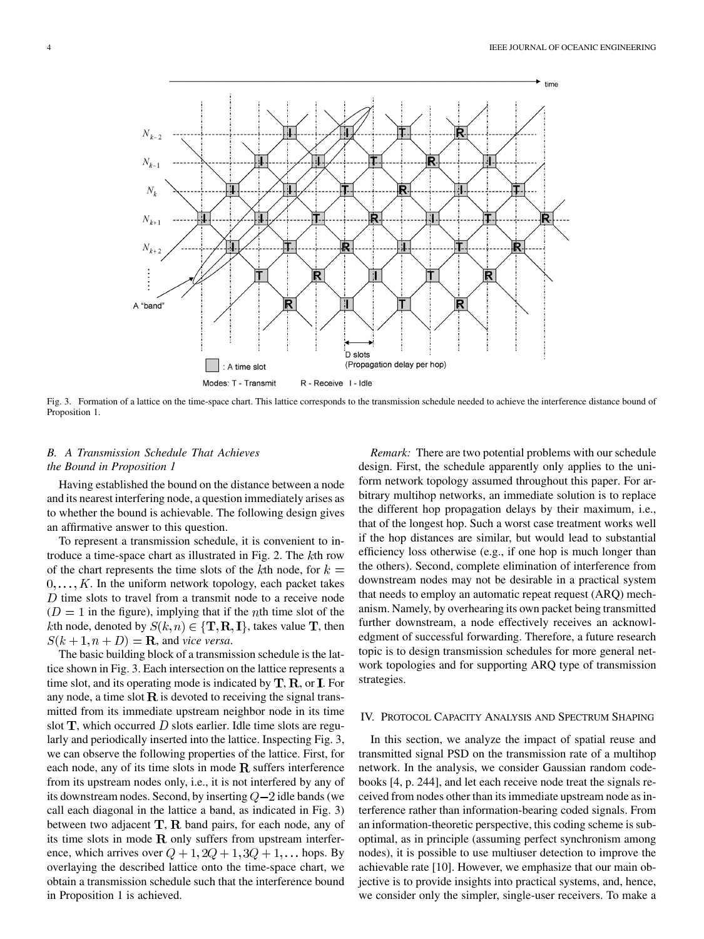<span id="page-3-0"></span>

Fig. 3. Formation of a lattice on the time-space chart. This lattice corresponds to the transmission schedule needed to achieve the interference distance bound of Proposition 1.

# *B. A Transmission Schedule That Achieves the Bound in Proposition 1*

Having established the bound on the distance between a node and its nearest interfering node, a question immediately arises as to whether the bound is achievable. The following design gives an affirmative answer to this question.

To represent a transmission schedule, it is convenient to in-troduce a time-space chart as illustrated in [Fig. 2.](#page-2-0) The  $k$ th row of the chart represents the time slots of the kth node, for  $k =$  $0, \ldots, K$ . In the uniform network topology, each packet takes  $D$  time slots to travel from a transmit node to a receive node  $(D = 1$  in the figure), implying that if the *n*th time slot of the *k*th node, denoted by  $S(k, n) \in \{T, R, I\}$ , takes value T, then  $S(k+1, n+D) = \mathbf{R}$ , and *vice versa*.

The basic building block of a transmission schedule is the lattice shown in Fig. 3. Each intersection on the lattice represents a time slot, and its operating mode is indicated by  $T, R$ , or  $I$ . For any node, a time slot  $\bf{R}$  is devoted to receiving the signal transmitted from its immediate upstream neighbor node in its time slot  $\mathbf T$ , which occurred D slots earlier. Idle time slots are regularly and periodically inserted into the lattice. Inspecting Fig. 3, we can observe the following properties of the lattice. First, for each node, any of its time slots in mode  $R$  suffers interference from its upstream nodes only, i.e., it is not interfered by any of its downstream nodes. Second, by inserting  $Q-2$  idle bands (we call each diagonal in the lattice a band, as indicated in Fig. 3) between two adjacent  $T$ ,  $R$  band pairs, for each node, any of its time slots in mode  $R$  only suffers from upstream interference, which arrives over  $Q + 1$ ,  $2Q + 1$ ,  $3Q + 1$ ,... hops. By overlaying the described lattice onto the time-space chart, we obtain a transmission schedule such that the interference bound in Proposition 1 is achieved.

*Remark:* There are two potential problems with our schedule design. First, the schedule apparently only applies to the uniform network topology assumed throughout this paper. For arbitrary multihop networks, an immediate solution is to replace the different hop propagation delays by their maximum, i.e., that of the longest hop. Such a worst case treatment works well if the hop distances are similar, but would lead to substantial efficiency loss otherwise (e.g., if one hop is much longer than the others). Second, complete elimination of interference from downstream nodes may not be desirable in a practical system that needs to employ an automatic repeat request (ARQ) mechanism. Namely, by overhearing its own packet being transmitted further downstream, a node effectively receives an acknowledgment of successful forwarding. Therefore, a future research topic is to design transmission schedules for more general network topologies and for supporting ARQ type of transmission strategies.

#### IV. PROTOCOL CAPACITY ANALYSIS AND SPECTRUM SHAPING

In this section, we analyze the impact of spatial reuse and transmitted signal PSD on the transmission rate of a multihop network. In the analysis, we consider Gaussian random codebooks [\[4, p. 244\]](#page-9-0), and let each receive node treat the signals received from nodes other than its immediate upstream node as interference rather than information-bearing coded signals. From an information-theoretic perspective, this coding scheme is suboptimal, as in principle (assuming perfect synchronism among nodes), it is possible to use multiuser detection to improve the achievable rate [\[10\]](#page-9-0). However, we emphasize that our main objective is to provide insights into practical systems, and, hence, we consider only the simpler, single-user receivers. To make a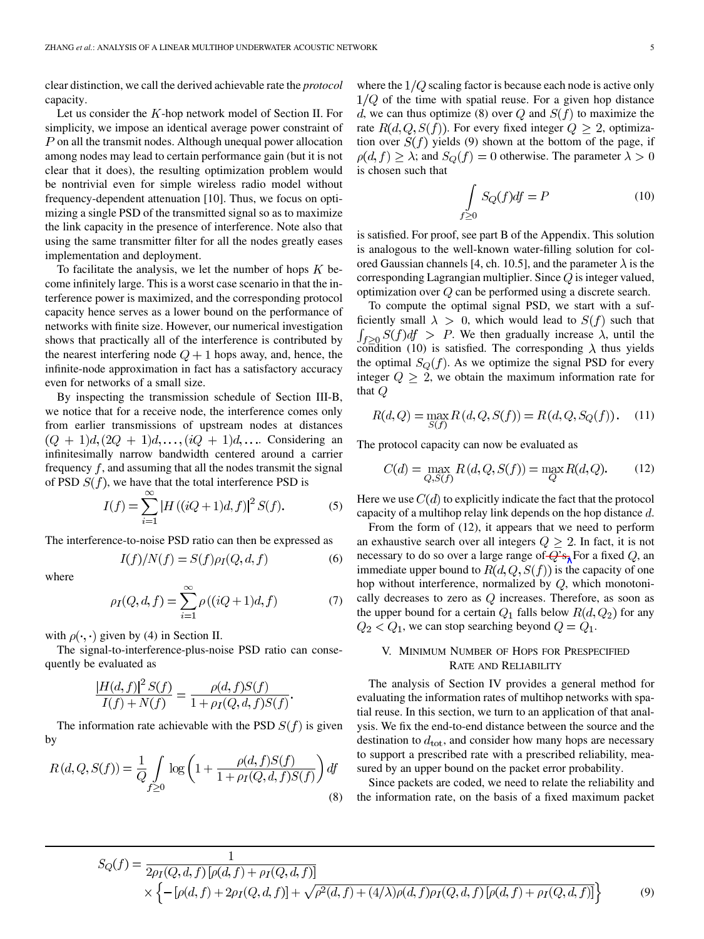<span id="page-4-0"></span>clear distinction, we call the derived achievable rate the *protocol* capacity.

Let us consider the  $K$ -hop network model of [Section II](#page-1-0). For simplicity, we impose an identical average power constraint of  $P$  on all the transmit nodes. Although unequal power allocation among nodes may lead to certain performance gain (but it is not clear that it does), the resulting optimization problem would be nontrivial even for simple wireless radio model without frequency-dependent attenuation [\[10\]](#page-9-0). Thus, we focus on optimizing a single PSD of the transmitted signal so as to maximize the link capacity in the presence of interference. Note also that using the same transmitter filter for all the nodes greatly eases implementation and deployment.

To facilitate the analysis, we let the number of hops  $K$  become infinitely large. This is a worst case scenario in that the interference power is maximized, and the corresponding protocol capacity hence serves as a lower bound on the performance of networks with finite size. However, our numerical investigation shows that practically all of the interference is contributed by the nearest interfering node  $Q + 1$  hops away, and, hence, the infinite-node approximation in fact has a satisfactory accuracy even for networks of a small size.

By inspecting the transmission schedule of [Section III-B,](#page-3-0) we notice that for a receive node, the interference comes only from earlier transmissions of upstream nodes at distances  $(Q+1)d$ ,  $(2Q+1)d$ ,  $\dots$ ,  $(iQ+1)d$ ,  $\dots$  Considering an infinitesimally narrow bandwidth centered around a carrier frequency  $f$ , and assuming that all the nodes transmit the signal of PSD  $S(f)$ , we have that the total interference PSD is

$$
I(f) = \sum_{i=1}^{\infty} |H((iQ+1)d, f)|^2 S(f).
$$
 (5)

The interference-to-noise PSD ratio can then be expressed as

$$
I(f)/N(f) = S(f)\rho_I(Q, d, f) \tag{6}
$$

where

$$
\rho_I(Q, d, f) = \sum_{i=1}^{\infty} \rho((iQ + 1)d, f)
$$
 (7)

with  $\rho(\cdot, \cdot)$  given by [\(4\)](#page-2-0) in [Section II.](#page-1-0)

The signal-to-interference-plus-noise PSD ratio can consequently be evaluated as

$$
\frac{|H(d,f)|^2 S(f)}{I(f) + N(f)} = \frac{\rho(d,f)S(f)}{1 + \rho_I(Q,d,f)S(f)}.
$$

The information rate achievable with the PSD  $S(f)$  is given by

$$
R(d, Q, S(f)) = \frac{1}{Q} \int_{f \ge 0} \log \left( 1 + \frac{\rho(d, f)S(f)}{1 + \rho_I(Q, d, f)S(f)} \right) df
$$
\n(8)

where the  $1/Q$  scaling factor is because each node is active only  $1/Q$  of the time with spatial reuse. For a given hop distance d, we can thus optimize (8) over Q and  $S(f)$  to maximize the rate  $R(d, Q, S(f))$ . For every fixed integer  $Q \geq 2$ , optimization over  $S(f)$  yields (9) shown at the bottom of the page, if  $\rho(d, f) \geq \lambda$ ; and  $S_Q(f) = 0$  otherwise. The parameter  $\lambda > 0$ is chosen such that

$$
\int_{f\geq 0} S_Q(f) df = P \tag{10}
$$

is satisfied. For proof, see [part B of the Appendix](#page-8-0). This solution is analogous to the well-known water-filling solution for col-ored Gaussian channels [\[4, ch. 10.5\]](#page-9-0), and the parameter  $\lambda$  is the corresponding Lagrangian multiplier. Since  $Q$  is integer valued, optimization over  $Q$  can be performed using a discrete search.

To compute the optimal signal PSD, we start with a sufficiently small  $\lambda > 0$ , which would lead to  $S(f)$  such that  $\int_{f>0} S(f) df > P$ . We then gradually increase  $\lambda$ , until the condition (10) is satisfied. The corresponding  $\lambda$  thus yields the optimal  $S_Q(f)$ . As we optimize the signal PSD for every integer  $Q \geq 2$ , we obtain the maximum information rate for that  $Q$ 

$$
R(d, Q) = \max_{S(f)} R(d, Q, S(f)) = R(d, Q, S_Q(f)).
$$
 (11)

The protocol capacity can now be evaluated as

$$
C(d) = \max_{Q, S(f)} R(d, Q, S(f)) = \max_{Q} R(d, Q).
$$
 (12)

Here we use  $C(d)$  to explicitly indicate the fact that the protocol capacity of a multihop relay link depends on the hop distance  $d$ .

From the form of (12), it appears that we need to perform an exhaustive search over all integers  $Q \geq 2$ . In fact, it is not necessary to do so over a large range of  $Q_s$ <sup>s</sup>, For a fixed Q, an immediate upper bound to  $R(d, Q, S(f))$  is the capacity of one hop without interference, normalized by  $Q$ , which monotonically decreases to zero as  $Q$  increases. Therefore, as soon as the upper bound for a certain  $Q_1$  falls below  $R(d, Q_2)$  for any  $Q_2 < Q_1$ , we can stop searching beyond  $Q = Q_1$ .

# V. MINIMUM NUMBER OF HOPS FOR PRESPECIFIED RATE AND RELIABILITY

The analysis of [Section IV](#page-3-0) provides a general method for evaluating the information rates of multihop networks with spatial reuse. In this section, we turn to an application of that analysis. We fix the end-to-end distance between the source and the destination to  $d_{\text{tot}}$ , and consider how many hops are necessary to support a prescribed rate with a prescribed reliability, measured by an upper bound on the packet error probability.

Since packets are coded, we need to relate the reliability and the information rate, on the basis of a fixed maximum packet

$$
S_Q(f) = \frac{1}{2\rho_I(Q, d, f) \left[ \rho(d, f) + \rho_I(Q, d, f) \right]}
$$
  
 
$$
\times \left\{ - \left[ \rho(d, f) + 2\rho_I(Q, d, f) \right] + \sqrt{\rho^2(d, f) + (4/\lambda)\rho(d, f)\rho_I(Q, d, f) \left[ \rho(d, f) + \rho_I(Q, d, f) \right]} \right\}
$$
(9)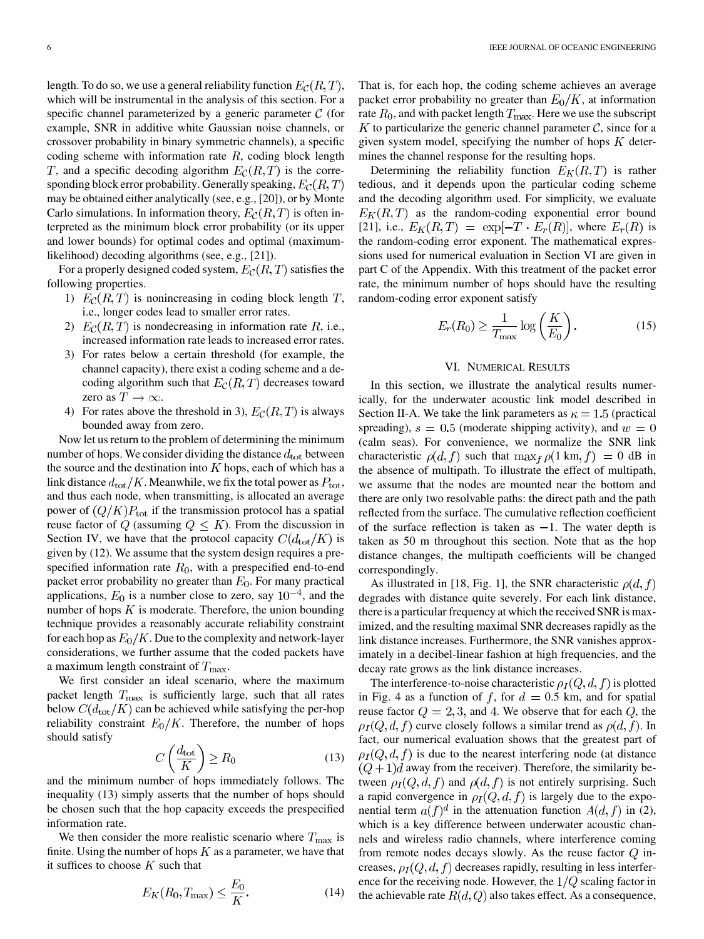<span id="page-5-0"></span>length. To do so, we use a general reliability function  $E_{\mathcal{C}}(R,T)$ , which will be instrumental in the analysis of this section. For a specific channel parameterized by a generic parameter  $\mathcal C$  (for example, SNR in additive white Gaussian noise channels, or crossover probability in binary symmetric channels), a specific coding scheme with information rate  $R$ , coding block length T, and a specific decoding algorithm  $E_{\mathcal{C}}(R,T)$  is the corresponding block error probability. Generally speaking,  $E_C(R,T)$ may be obtained either analytically (see, e.g., [\[20\]\)](#page-9-0), or by Monte Carlo simulations. In information theory,  $E_{\mathcal{C}}(R,T)$  is often interpreted as the minimum block error probability (or its upper and lower bounds) for optimal codes and optimal (maximumlikelihood) decoding algorithms (see, e.g., [\[21\]\)](#page-9-0).

For a properly designed coded system,  $E_{\mathcal{C}}(R,T)$  satisfies the following properties.

- 1)  $E_{\mathcal{C}}(R,T)$  is nonincreasing in coding block length T, i.e., longer codes lead to smaller error rates.
- 2)  $E_{\mathcal{C}}(R,T)$  is nondecreasing in information rate R, i.e., increased information rate leads to increased error rates.
- 3) For rates below a certain threshold (for example, the channel capacity), there exist a coding scheme and a decoding algorithm such that  $E_{\mathcal{C}}(R,T)$  decreases toward zero as  $T \to \infty$ .
- 4) For rates above the threshold in 3),  $E_{\mathcal{C}}(R, T)$  is always bounded away from zero.

Now let us return to the problem of determining the minimum number of hops. We consider dividing the distance  $d_{\text{tot}}$  between the source and the destination into  $K$  hops, each of which has a link distance  $d_{\text{tot}}/K$ . Meanwhile, we fix the total power as  $P_{\text{tot}}$ , and thus each node, when transmitting, is allocated an average power of  $(Q/K)P_{\text{tot}}$  if the transmission protocol has a spatial reuse factor of Q (assuming  $Q \leq K$ ). From the discussion in [Section IV,](#page-3-0) we have that the protocol capacity  $C(d_{\text{tot}}/K)$  is given by [\(12\)](#page-4-0). We assume that the system design requires a prespecified information rate  $R_0$ , with a prespecified end-to-end packet error probability no greater than  $E_0$ . For many practical applications,  $E_0$  is a number close to zero, say  $10^{-4}$ , and the number of hops  $K$  is moderate. Therefore, the union bounding technique provides a reasonably accurate reliability constraint for each hop as  $E_0/K$ . Due to the complexity and network-layer considerations, we further assume that the coded packets have a maximum length constraint of  $T_{\rm max}$ .

We first consider an ideal scenario, where the maximum packet length  $T_{\text{max}}$  is sufficiently large, such that all rates below  $C(d_{\text{tot}}/K)$  can be achieved while satisfying the per-hop reliability constraint  $E_0/K$ . Therefore, the number of hops should satisfy

$$
C\left(\frac{d_{\text{tot}}}{K}\right) \ge R_0\tag{13}
$$

and the minimum number of hops immediately follows. The inequality (13) simply asserts that the number of hops should be chosen such that the hop capacity exceeds the prespecified information rate.

We then consider the more realistic scenario where  $T_{\text{max}}$  is finite. Using the number of hops  $K$  as a parameter, we have that it suffices to choose  $K$  such that

$$
E_K(R_0, T_{\text{max}}) \le \frac{E_0}{K}.\tag{14}
$$

That is, for each hop, the coding scheme achieves an average packet error probability no greater than  $E_0/K$ , at information rate  $R_0$ , and with packet length  $T_{\text{max}}$ . Here we use the subscript K to particularize the generic channel parameter  $\mathcal{C}$ , since for a given system model, specifying the number of hops  $K$  determines the channel response for the resulting hops.

Determining the reliability function  $E_K(R,T)$  is rather tedious, and it depends upon the particular coding scheme and the decoding algorithm used. For simplicity, we evaluate  $E_K(R,T)$  as the random-coding exponential error bound [\[21\]](#page-9-0), i.e.,  $E_K(R,T) = \exp[-T \cdot E_r(R)]$ , where  $E_r(R)$  is the random-coding error exponent. The mathematical expressions used for numerical evaluation in Section VI are given in [part C of the Appendix](#page-8-0). With this treatment of the packet error rate, the minimum number of hops should have the resulting random-coding error exponent satisfy

$$
E_r(R_0) \ge \frac{1}{T_{\text{max}}} \log \left(\frac{K}{E_0}\right). \tag{15}
$$

### VI. NUMERICAL RESULTS

In this section, we illustrate the analytical results numerically, for the underwater acoustic link model described in [Section II-A](#page-1-0). We take the link parameters as  $\kappa = 1.5$  (practical spreading),  $s = 0.5$  (moderate shipping activity), and  $w = 0$ (calm seas). For convenience, we normalize the SNR link characteristic  $\rho(d, f)$  such that  $\max_f \rho(1 \text{ km}, f) = 0$  dB in the absence of multipath. To illustrate the effect of multipath, we assume that the nodes are mounted near the bottom and there are only two resolvable paths: the direct path and the path reflected from the surface. The cumulative reflection coefficient of the surface reflection is taken as  $-1$ . The water depth is taken as 50 m throughout this section. Note that as the hop distance changes, the multipath coefficients will be changed correspondingly.

As illustrated in [\[18, Fig. 1\]](#page-9-0), the SNR characteristic  $\rho(d, f)$ degrades with distance quite severely. For each link distance, there is a particular frequency at which the received SNR is maximized, and the resulting maximal SNR decreases rapidly as the link distance increases. Furthermore, the SNR vanishes approximately in a decibel-linear fashion at high frequencies, and the decay rate grows as the link distance increases.

The interference-to-noise characteristic  $\rho_I(Q,d,f)$  is plotted in [Fig. 4](#page-6-0) as a function of f, for  $d = 0.5$  km, and for spatial reuse factor  $Q = 2, 3$ , and 4. We observe that for each  $Q$ , the  $\rho_I(Q, d, f)$  curve closely follows a similar trend as  $\rho(d, f)$ . In fact, our numerical evaluation shows that the greatest part of  $\rho_I(Q,d,f)$  is due to the nearest interfering node (at distance  $(Q+1)d$  away from the receiver). Therefore, the similarity between  $\rho_I(Q, d, f)$  and  $\rho(d, f)$  is not entirely surprising. Such a rapid convergence in  $\rho_I(Q, d, f)$  is largely due to the exponential term  $a(f)^d$  in the attenuation function  $A(d, f)$  in [\(2\)](#page-1-0), which is a key difference between underwater acoustic channels and wireless radio channels, where interference coming from remote nodes decays slowly. As the reuse factor  $Q$  increases,  $\rho_I(Q,d,f)$  decreases rapidly, resulting in less interference for the receiving node. However, the  $1/Q$  scaling factor in the achievable rate  $R(d, Q)$  also takes effect. As a consequence,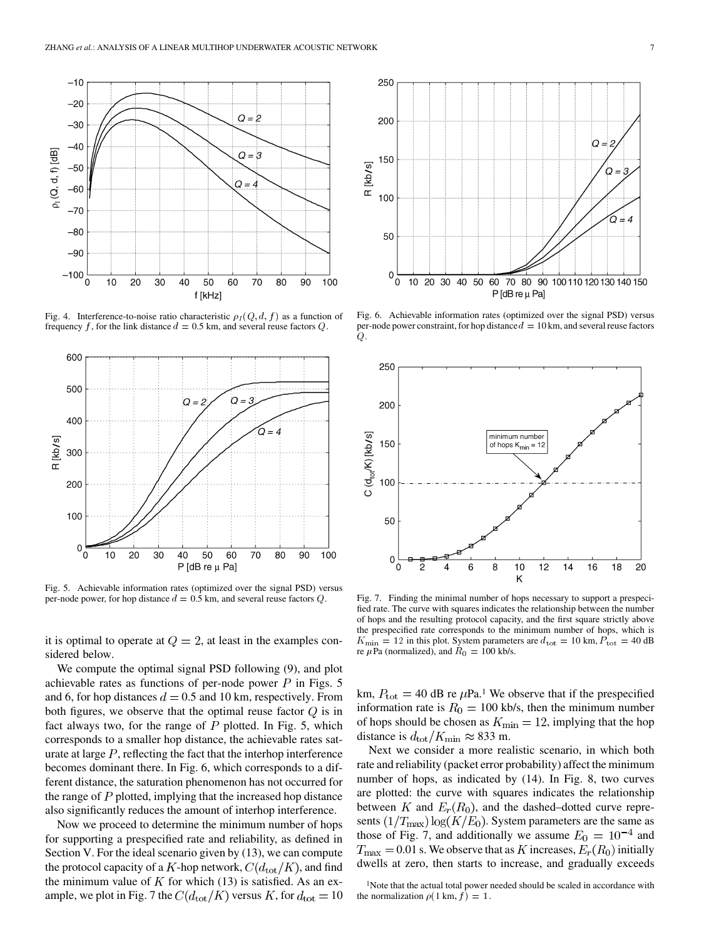<span id="page-6-0"></span>

Fig. 4. Interference-to-noise ratio characteristic  $\rho_I(Q, d, f)$  as a function of frequency f, for the link distance  $d = 0.5$  km, and several reuse factors Q.



Fig. 5. Achievable information rates (optimized over the signal PSD) versus per-node power, for hop distance  $d = 0.5$  km, and several reuse factors  $Q$ .

it is optimal to operate at  $Q = 2$ , at least in the examples considered below.

We compute the optimal signal PSD following [\(9\),](#page-4-0) and plot achievable rates as functions of per-node power  $P$  in Figs. 5 and 6, for hop distances  $d = 0.5$  and 10 km, respectively. From both figures, we observe that the optimal reuse factor  $Q$  is in fact always two, for the range of  $P$  plotted. In Fig. 5, which corresponds to a smaller hop distance, the achievable rates saturate at large  $P$ , reflecting the fact that the interhop interference becomes dominant there. In Fig. 6, which corresponds to a different distance, the saturation phenomenon has not occurred for the range of  $P$  plotted, implying that the increased hop distance also significantly reduces the amount of interhop interference.

Now we proceed to determine the minimum number of hops for supporting a prespecified rate and reliability, as defined in [Section V](#page-4-0). For the ideal scenario given by [\(13\),](#page-5-0) we can compute the protocol capacity of a K-hop network,  $C(d_{\text{tot}}/K)$ , and find the minimum value of K for which [\(13\)](#page-5-0) is satisfied. As an example, we plot in Fig. 7 the  $C(d_{\text{tot}}/K)$  versus K, for  $d_{\text{tot}} = 10$ 



Fig. 6. Achievable information rates (optimized over the signal PSD) versus per-node power constraint, for hop distance  $d = 10$  km, and several reuse factors  $\it{Q}$ .



Fig. 7. Finding the minimal number of hops necessary to support a prespecified rate. The curve with squares indicates the relationship between the number of hops and the resulting protocol capacity, and the first square strictly above the prespecified rate corresponds to the minimum number of hops, which is  $K_{\text{min}} = 12$  in this plot. System parameters are  $d_{\text{tot}} = 10$  km,  $P_{\text{tot}} = 40$  dB re  $\mu$  Pa (normalized), and  $\dot{R}_0 = 100$  kb/s.

km,  $P_{\text{tot}} = 40$  dB re  $\mu$ Pa.<sup>1</sup> We observe that if the prespecified information rate is  $R_0 = 100$  kb/s, then the minimum number of hops should be chosen as  $K_{\text{min}} = 12$ , implying that the hop distance is  $d_{\text{tot}}/K_{\text{min}} \approx 833 \text{ m}.$ 

Next we consider a more realistic scenario, in which both rate and reliability (packet error probability) affect the minimum number of hops, as indicated by [\(14\)](#page-5-0). In [Fig. 8,](#page-7-0) two curves are plotted: the curve with squares indicates the relationship between K and  $E_r(R_0)$ , and the dashed–dotted curve represents  $(1/T_{\text{max}}) \log(K/E_0)$ . System parameters are the same as those of Fig. 7, and additionally we assume  $E_0 = 10^{-4}$  and  $T_{\text{max}} = 0.01$  s. We observe that as K increases,  $E_r(R_0)$  initially dwells at zero, then starts to increase, and gradually exceeds

<sup>1</sup>Note that the actual total power needed should be scaled in accordance with the normalization  $\rho(1 \text{ km}, f) = 1$ .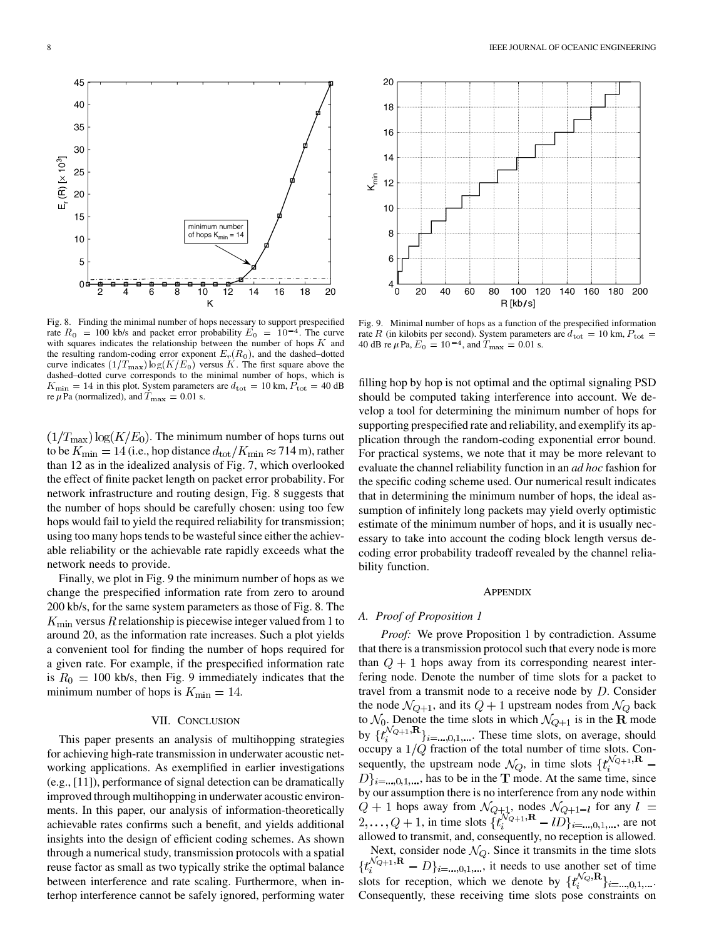<span id="page-7-0"></span>

Fig. 8. Finding the minimal number of hops necessary to support prespecified rate  $R_0 = 100$  kb/s and packet error probability  $E_0 = 10^{-4}$ . The curve with squares indicates the relationship between the number of hops  $K$  and the resulting random-coding error exponent  $E_r(R_0)$ , and the dashed–dotted curve indicates  $(1/T_{\text{max}}) \log(K/E_0)$  versus K. The first square above the dashed–dotted curve corresponds to the minimal number of hops, which is  $K_{\text{min}} = 14$  in this plot. System parameters are  $d_{\text{tot}} = 10$  km,  $P_{\text{tot}} = 40$  dB re  $\mu$ Pa (normalized), and  $T_{\text{max}} = 0.01$  s.

 $(1/T_{\text{max}})\log(K/E_0)$ . The minimum number of hops turns out to be  $K_{\text{min}} = 14$  (i.e., hop distance  $d_{\text{tot}}/K_{\text{min}} \approx 714$  m), rather than 12 as in the idealized analysis of [Fig. 7](#page-6-0), which overlooked the effect of finite packet length on packet error probability. For network infrastructure and routing design, Fig. 8 suggests that the number of hops should be carefully chosen: using too few hops would fail to yield the required reliability for transmission; using too many hops tends to be wasteful since either the achievable reliability or the achievable rate rapidly exceeds what the network needs to provide.

Finally, we plot in Fig. 9 the minimum number of hops as we change the prespecified information rate from zero to around 200 kb/s, for the same system parameters as those of Fig. 8. The  $K_{\text{min}}$  versus R relationship is piecewise integer valued from 1 to around 20, as the information rate increases. Such a plot yields a convenient tool for finding the number of hops required for a given rate. For example, if the prespecified information rate is  $R_0 = 100$  kb/s, then Fig. 9 immediately indicates that the minimum number of hops is  $K_{\text{min}} = 14$ .

#### VII. CONCLUSION

This paper presents an analysis of multihopping strategies for achieving high-rate transmission in underwater acoustic networking applications. As exemplified in earlier investigations (e.g., [\[11\]](#page-9-0)), performance of signal detection can be dramatically improved through multihopping in underwater acoustic environments. In this paper, our analysis of information-theoretically achievable rates confirms such a benefit, and yields additional insights into the design of efficient coding schemes. As shown through a numerical study, transmission protocols with a spatial reuse factor as small as two typically strike the optimal balance between interference and rate scaling. Furthermore, when interhop interference cannot be safely ignored, performing water



Fig. 9. Minimal number of hops as a function of the prespecified information rate R (in kilobits per second). System parameters are  $d_{\text{tot}} = 10 \text{ km}$ ,  $P_{\text{tot}} =$ 40 dB re  $\mu$ Pa,  $E_0 = 10^{-4}$ , and  $T_{\text{max}} = 0.01$  s.

filling hop by hop is not optimal and the optimal signaling PSD should be computed taking interference into account. We develop a tool for determining the minimum number of hops for supporting prespecified rate and reliability, and exemplify its application through the random-coding exponential error bound. For practical systems, we note that it may be more relevant to evaluate the channel reliability function in an *ad hoc* fashion for the specific coding scheme used. Our numerical result indicates that in determining the minimum number of hops, the ideal assumption of infinitely long packets may yield overly optimistic estimate of the minimum number of hops, and it is usually necessary to take into account the coding block length versus decoding error probability tradeoff revealed by the channel reliability function.

### **APPENDIX**

#### *A. Proof of Proposition 1*

*Proof:* We prove Proposition 1 by contradiction. Assume that there is a transmission protocol such that every node is more than  $Q + 1$  hops away from its corresponding nearest interfering node. Denote the number of time slots for a packet to travel from a transmit node to a receive node by  $D$ . Consider the node  $\mathcal{N}_{Q+1}$ , and its  $Q+1$  upstream nodes from  $\mathcal{N}_Q$  back to  $\mathcal{N}_0$ . Denote the time slots in which  $\mathcal{N}_{Q+1}$  is in the **R** mode by  $\{t_i^{\mathcal{N}_{Q+1}, \mathbf{R}}\}_{i=\dots,0,1,\dots}$ . These time slots, on average, should occupy a  $1/Q$  fraction of the total number of time slots. Consequently, the upstream node  $\mathcal{N}_Q$ , in time slots  $\{t_i^{\mathcal{N}_{Q+1}, \mathbf{R}} D_{i=\dots,0,1,\dots}$ , has to be in the T mode. At the same time, since by our assumption there is no interference from any node within hops away from  $\mathcal{N}_{Q+1}$ , nodes  $\mathcal{N}_{Q+1-l}$  for any , in time slots  $\{t_i^{v_{Q+1},K} - lD\}_{i=\dots,0,1,\dots}$ , are not allowed to transmit, and, consequently, no reception is allowed.

Next, consider node  $\mathcal{N}_{Q}$ . Since it transmits in the time slots  $\{t_i^{\mathcal{N}_{Q+1}, \mathbf{R}} - D\}_{i = ..., 0, 1, ...,}$  it needs to use another set of time slots for reception, which we denote by  $\{t_i^{\mathcal{N}_Q,\mathbf{R}}\}_{i=\dots,0,1,\dots}$ . Consequently, these receiving time slots pose constraints on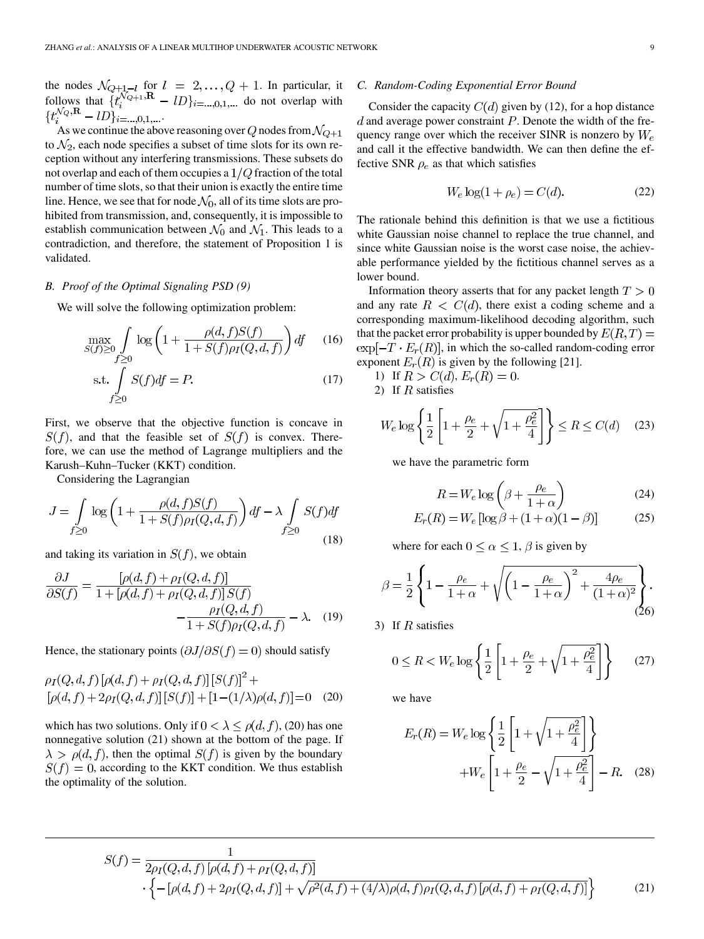<span id="page-8-0"></span>the nodes  $\mathcal{N}_{Q+1-l}$  for  $l = 2, \ldots, Q+1$ . In particular, it follows that  $\{t_i^{\gamma_{Q+1},\mathbf{R}} - lD\}_{i=\dots,0,1,\dots}$  do not overlap with .

As we continue the above reasoning over  $Q$  nodes from to  $\mathcal{N}_2$ , each node specifies a subset of time slots for its own reception without any interfering transmissions. These subsets do not overlap and each of them occupies a  $1/Q$  fraction of the total number of time slots, so that their union is exactly the entire time line. Hence, we see that for node  $\mathcal{N}_0$ , all of its time slots are prohibited from transmission, and, consequently, it is impossible to establish communication between  $\mathcal{N}_0$  and  $\mathcal{N}_1$ . This leads to a contradiction, and therefore, the statement of Proposition 1 is validated.

#### *B. Proof of the Optimal Signaling PSD [\(9\)](#page-4-0)*

We will solve the following optimization problem:

$$
\max_{S(f)\geq 0} \int_{f\geq 0} \log\left(1 + \frac{\rho(d, f)S(f)}{1 + S(f)\rho_I(Q, d, f)}\right) df \tag{16}
$$

$$
\text{s.t.} \int\limits_{f\geq 0} S(f)df = P. \tag{17}
$$

First, we observe that the objective function is concave in  $S(f)$ , and that the feasible set of  $S(f)$  is convex. Therefore, we can use the method of Lagrange multipliers and the Karush–Kuhn–Tucker (KKT) condition.

Considering the Lagrangian

$$
J = \int_{f \ge 0} \log \left( 1 + \frac{\rho(d, f)S(f)}{1 + S(f)\rho_I(Q, d, f)} \right) df - \lambda \int_{f \ge 0} S(f) df
$$
\n(18)

and taking its variation in  $S(f)$ , we obtain

$$
\frac{\partial J}{\partial S(f)} = \frac{[\rho(d, f) + \rho_I(Q, d, f)]}{1 + [\rho(d, f) + \rho_I(Q, d, f)] S(f)} - \frac{\rho_I(Q, d, f)}{1 + S(f)\rho_I(Q, d, f)} - \lambda.
$$
(19)

Hence, the stationary points  $(\partial J/\partial S(f) = 0)$  should satisfy

$$
\rho_I(Q, d, f) [\rho(d, f) + \rho_I(Q, d, f)][S(f)]^2 + [\rho(d, f) + 2\rho_I(Q, d, f)][S(f)] + [1 - (1/\lambda)\rho(d, f)] = 0 \quad (20)
$$

which has two solutions. Only if  $0 < \lambda \le \rho(d, f)$ , (20) has one nonnegative solution (21) shown at the bottom of the page. If  $\lambda > \rho(d, f)$ , then the optimal  $S(f)$  is given by the boundary  $S(f) = 0$ , according to the KKT condition. We thus establish the optimality of the solution.

#### *C. Random-Coding Exponential Error Bound*

Consider the capacity  $C(d)$  given by [\(12\)](#page-4-0), for a hop distance  $d$  and average power constraint  $P$ . Denote the width of the frequency range over which the receiver SINR is nonzero by  $W_e$ and call it the effective bandwidth. We can then define the effective SNR  $\rho_e$  as that which satisfies

$$
W_e \log(1 + \rho_e) = C(d). \tag{22}
$$

The rationale behind this definition is that we use a fictitious white Gaussian noise channel to replace the true channel, and since white Gaussian noise is the worst case noise, the achievable performance yielded by the fictitious channel serves as a lower bound.

Information theory asserts that for any packet length  $T > 0$ and any rate  $R < C(d)$ , there exist a coding scheme and a corresponding maximum-likelihood decoding algorithm, such that the packet error probability is upper bounded by  $E(R,T) =$  $\exp[-T \cdot E_r(R)]$ , in which the so-called random-coding error exponent  $E_r(R)$  is given by the following [\[21\].](#page-9-0)

1) If 
$$
R > C(d)
$$
,  $E_r(R) = 0$ .

2) If  $R$  satisfies

$$
W_e \log \left\{ \frac{1}{2} \left[ 1 + \frac{\rho_e}{2} + \sqrt{1 + \frac{\rho_e^2}{4}} \right] \right\} \le R \le C(d) \quad (23)
$$

we have the parametric form

$$
R = W_e \log \left(\beta + \frac{\rho_e}{1 + \alpha}\right) \tag{24}
$$

$$
E_r(R) = W_e \left[ \log \beta + (1 + \alpha)(1 - \beta) \right] \tag{25}
$$

where for each  $0 \le \alpha \le 1$ ,  $\beta$  is given by

$$
\beta = \frac{1}{2} \left\{ 1 - \frac{\rho_e}{1 + \alpha} + \sqrt{\left( 1 - \frac{\rho_e}{1 + \alpha} \right)^2 + \frac{4\rho_e}{(1 + \alpha)^2}} \right\}.
$$
\n(26)

3) If  $R$  satisfies

$$
0 \le R < W_e \log \left\{ \frac{1}{2} \left[ 1 + \frac{\rho_e}{2} + \sqrt{1 + \frac{\rho_e^2}{4}} \right] \right\} \tag{27}
$$

we have

$$
E_r(R) = W_e \log \left\{ \frac{1}{2} \left[ 1 + \sqrt{1 + \frac{\rho_e^2}{4}} \right] \right\}
$$
  
+
$$
W_e \left[ 1 + \frac{\rho_e}{2} - \sqrt{1 + \frac{\rho_e^2}{4}} \right] - R.
$$
 (28)

(21)

$$
S(f) = \frac{1}{2\rho_I(Q, d, f) \left[ \rho(d, f) + \rho_I(Q, d, f) \right]}
$$
  
 
$$
\left\{ -\left[ \rho(d, f) + 2\rho_I(Q, d, f) \right] + \sqrt{\rho^2(d, f) + (4/\lambda)\rho(d, f)\rho_I(Q, d, f) \left[ \rho(d, f) + \rho_I(Q, d, f) \right]} \right\}
$$